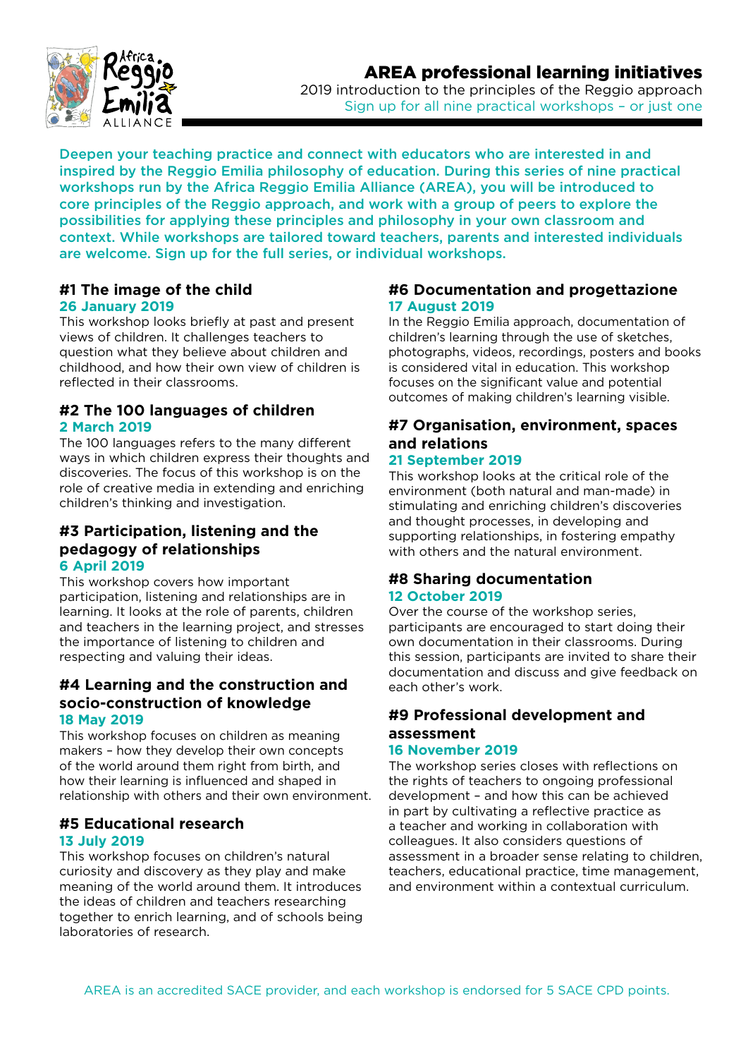



2019 introduction to the principles of the Reggio approach Sign up for all nine practical workshops - or just one

Deepen your teaching practice and connect with educators who are interested in and inspired by the Reggio Emilia philosophy of education. During this series of nine practical workshops run by the Africa Reggio Emilia Alliance (AREA), you will be introduced to core principles of the Reggio approach, and work with a group of peers to explore the possibilities for applying these principles and philosophy in your own classroom and context. While workshops are tailored toward teachers, parents and interested individuals are welcome. Sign up for the full series, or individual workshops.

#### **#1 The image of the child 26 January 2019**

This workshop looks briefly at past and present views of children. It challenges teachers to question what they believe about children and childhood, and how their own view of children is reflected in their classrooms.

#### **#2 The 100 languages of children 2 March 2019**

The 100 languages refers to the many different ways in which children express their thoughts and discoveries. The focus of this workshop is on the role of creative media in extending and enriching children's thinking and investigation.

#### **#3 Participation, listening and the pedagogy of relationships 6 April 2019**

This workshop covers how important participation, listening and relationships are in learning. It looks at the role of parents, children and teachers in the learning project, and stresses the importance of listening to children and respecting and valuing their ideas.

### **#4 Learning and the construction and socio-construction of knowledge 18 May 2019**

This workshop focuses on children as meaning makers – how they develop their own concepts of the world around them right from birth, and how their learning is influenced and shaped in relationship with others and their own environment.

### **#5 Educational research 13 July 2019**

This workshop focuses on children's natural curiosity and discovery as they play and make meaning of the world around them. It introduces the ideas of children and teachers researching together to enrich learning, and of schools being laboratories of research.

## **#6 Documentation and progettazione 17 August 2019**

In the Reggio Emilia approach, documentation of children's learning through the use of sketches, photographs, videos, recordings, posters and books is considered vital in education. This workshop focuses on the significant value and potential outcomes of making children's learning visible.

# **#7 Organisation, environment, spaces and relations**

## **21 September 2019**

This workshop looks at the critical role of the environment (both natural and man-made) in stimulating and enriching children's discoveries and thought processes, in developing and supporting relationships, in fostering empathy with others and the natural environment.

#### **#8 Sharing documentation 12 October 2019**

Over the course of the workshop series, participants are encouraged to start doing their own documentation in their classrooms. During this session, participants are invited to share their documentation and discuss and give feedback on each other's work.

#### **#9 Professional development and assessment 16 November 2019**

#### The workshop series closes with reflections on the rights of teachers to ongoing professional development – and how this can be achieved in part by cultivating a reflective practice as a teacher and working in collaboration with colleagues. It also considers questions of assessment in a broader sense relating to children, teachers, educational practice, time management, and environment within a contextual curriculum.